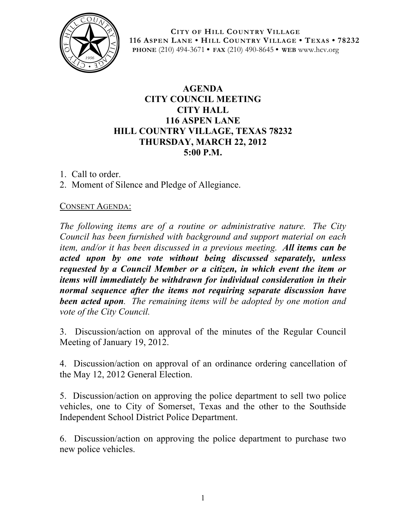

**CITY OF HILL COUNTRY VILLAGE 116 ASPEN LANE • HILL COUNTRY VILLAGE • TEXAS • 78232 PHONE** (210) 494-3671 **• FAX** (210) 490-8645 **• WEB** www.hcv.org

# **AGENDA CITY COUNCIL MEETING CITY HALL 116 ASPEN LANE HILL COUNTRY VILLAGE, TEXAS 78232 THURSDAY, MARCH 22, 2012 5:00 P.M.**

- 1. Call to order.
- 2. Moment of Silence and Pledge of Allegiance.

### CONSENT AGENDA:

*The following items are of a routine or administrative nature. The City Council has been furnished with background and support material on each item, and/or it has been discussed in a previous meeting. All items can be acted upon by one vote without being discussed separately, unless requested by a Council Member or a citizen, in which event the item or items will immediately be withdrawn for individual consideration in their normal sequence after the items not requiring separate discussion have been acted upon. The remaining items will be adopted by one motion and vote of the City Council.*

3. Discussion/action on approval of the minutes of the Regular Council Meeting of January 19, 2012.

4. Discussion/action on approval of an ordinance ordering cancellation of the May 12, 2012 General Election.

5. Discussion/action on approving the police department to sell two police vehicles, one to City of Somerset, Texas and the other to the Southside Independent School District Police Department.

6. Discussion/action on approving the police department to purchase two new police vehicles.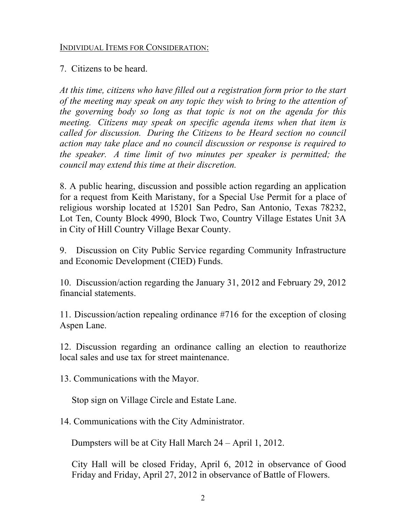#### INDIVIDUAL ITEMS FOR CONSIDERATION:

7. Citizens to be heard.

*At this time, citizens who have filled out a registration form prior to the start of the meeting may speak on any topic they wish to bring to the attention of the governing body so long as that topic is not on the agenda for this meeting. Citizens may speak on specific agenda items when that item is called for discussion. During the Citizens to be Heard section no council action may take place and no council discussion or response is required to the speaker. A time limit of two minutes per speaker is permitted; the council may extend this time at their discretion.*

8. A public hearing, discussion and possible action regarding an application for a request from Keith Maristany, for a Special Use Permit for a place of religious worship located at 15201 San Pedro, San Antonio, Texas 78232, Lot Ten, County Block 4990, Block Two, Country Village Estates Unit 3A in City of Hill Country Village Bexar County.

9. Discussion on City Public Service regarding Community Infrastructure and Economic Development (CIED) Funds.

10. Discussion/action regarding the January 31, 2012 and February 29, 2012 financial statements.

11. Discussion/action repealing ordinance #716 for the exception of closing Aspen Lane.

12. Discussion regarding an ordinance calling an election to reauthorize local sales and use tax for street maintenance.

13. Communications with the Mayor.

Stop sign on Village Circle and Estate Lane.

14. Communications with the City Administrator.

Dumpsters will be at City Hall March 24 – April 1, 2012.

City Hall will be closed Friday, April 6, 2012 in observance of Good Friday and Friday, April 27, 2012 in observance of Battle of Flowers.